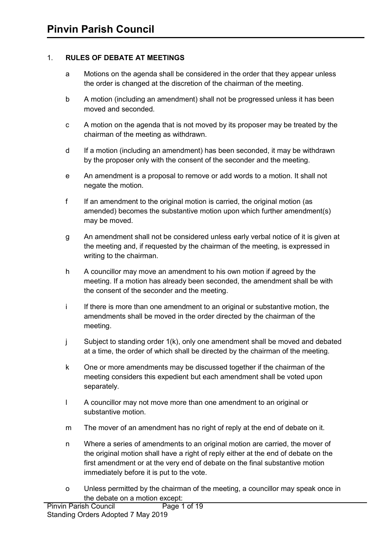### 1. **RULES OF DEBATE AT MEETINGS**

- a Motions on the agenda shall be considered in the order that they appear unless the order is changed at the discretion of the chairman of the meeting.
- b A motion (including an amendment) shall not be progressed unless it has been moved and seconded.
- c A motion on the agenda that is not moved by its proposer may be treated by the chairman of the meeting as withdrawn.
- d If a motion (including an amendment) has been seconded, it may be withdrawn by the proposer only with the consent of the seconder and the meeting.
- e An amendment is a proposal to remove or add words to a motion. It shall not negate the motion.
- f If an amendment to the original motion is carried, the original motion (as amended) becomes the substantive motion upon which further amendment(s) may be moved.
- g An amendment shall not be considered unless early verbal notice of it is given at the meeting and, if requested by the chairman of the meeting, is expressed in writing to the chairman.
- h A councillor may move an amendment to his own motion if agreed by the meeting. If a motion has already been seconded, the amendment shall be with the consent of the seconder and the meeting.
- i If there is more than one amendment to an original or substantive motion, the amendments shall be moved in the order directed by the chairman of the meeting.
- j Subject to standing order 1(k), only one amendment shall be moved and debated at a time, the order of which shall be directed by the chairman of the meeting.
- k One or more amendments may be discussed together if the chairman of the meeting considers this expedient but each amendment shall be voted upon separately.
- l A councillor may not move more than one amendment to an original or substantive motion.
- m The mover of an amendment has no right of reply at the end of debate on it.
- n Where a series of amendments to an original motion are carried, the mover of the original motion shall have a right of reply either at the end of debate on the first amendment or at the very end of debate on the final substantive motion immediately before it is put to the vote.
- o Unless permitted by the chairman of the meeting, a councillor may speak once in the debate on a motion except: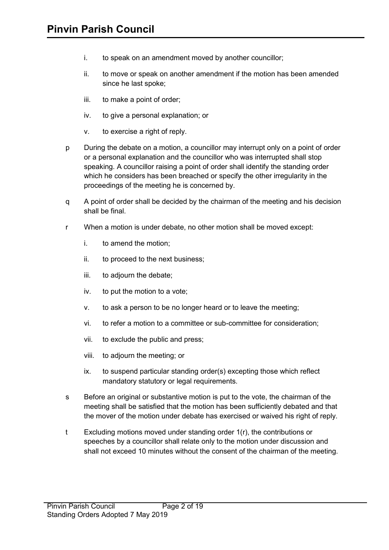- i. to speak on an amendment moved by another councillor;
- ii. to move or speak on another amendment if the motion has been amended since he last spoke;
- iii. to make a point of order;
- iv. to give a personal explanation; or
- v. to exercise a right of reply.
- p During the debate on a motion, a councillor may interrupt only on a point of order or a personal explanation and the councillor who was interrupted shall stop speaking. A councillor raising a point of order shall identify the standing order which he considers has been breached or specify the other irregularity in the proceedings of the meeting he is concerned by.
- q A point of order shall be decided by the chairman of the meeting and his decision shall be final.
- r When a motion is under debate, no other motion shall be moved except:
	- i. to amend the motion;
	- ii. to proceed to the next business;
	- iii. to adjourn the debate;
	- iv. to put the motion to a vote;
	- v. to ask a person to be no longer heard or to leave the meeting;
	- vi. to refer a motion to a committee or sub-committee for consideration;
	- vii. to exclude the public and press;
	- viii. to adjourn the meeting; or
	- ix. to suspend particular standing order(s) excepting those which reflect mandatory statutory or legal requirements.
- s Before an original or substantive motion is put to the vote, the chairman of the meeting shall be satisfied that the motion has been sufficiently debated and that the mover of the motion under debate has exercised or waived his right of reply.
- t Excluding motions moved under standing order 1(r), the contributions or speeches by a councillor shall relate only to the motion under discussion and shall not exceed 10 minutes without the consent of the chairman of the meeting.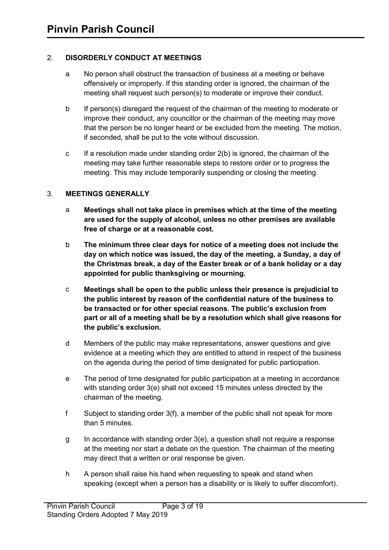## 2. **DISORDERLY CONDUCT AT MEETINGS**

- a No person shall obstruct the transaction of business at a meeting or behave offensively or improperly. If this standing order is ignored, the chairman of the meeting shall request such person(s) to moderate or improve their conduct.
- b If person(s) disregard the request of the chairman of the meeting to moderate or improve their conduct, any councillor or the chairman of the meeting may move that the person be no longer heard or be excluded from the meeting. The motion, if seconded, shall be put to the vote without discussion.
- c If a resolution made under standing order 2(b) is ignored, the chairman of the meeting may take further reasonable steps to restore order or to progress the meeting. This may include temporarily suspending or closing the meeting.

## 3. **MEETINGS GENERALLY**

- a **Meetings shall not take place in premises which at the time of the meeting are used for the supply of alcohol, unless no other premises are available free of charge or at a reasonable cost.**
- b **The minimum three clear days for notice of a meeting does not include the day on which notice was issued, the day of the meeting, a Sunday, a day of the Christmas break, a day of the Easter break or of a bank holiday or a day appointed for public thanksgiving or mourning.**
- c **Meetings shall be open to the public unless their presence is prejudicial to the public interest by reason of the confidential nature of the business to be transacted or for other special reasons. The public's exclusion from part or all of a meeting shall be by a resolution which shall give reasons for the public's exclusion.**
- d Members of the public may make representations, answer questions and give evidence at a meeting which they are entitled to attend in respect of the business on the agenda during the period of time designated for public participation.
- e The period of time designated for public participation at a meeting in accordance with standing order 3(e) shall not exceed 15 minutes unless directed by the chairman of the meeting.
- f Subject to standing order 3(f), a member of the public shall not speak for more than 5 minutes.
- g In accordance with standing order 3(e), a question shall not require a response at the meeting nor start a debate on the question. The chairman of the meeting may direct that a written or oral response be given.
- h A person shall raise his hand when requesting to speak and stand when speaking (except when a person has a disability or is likely to suffer discomfort).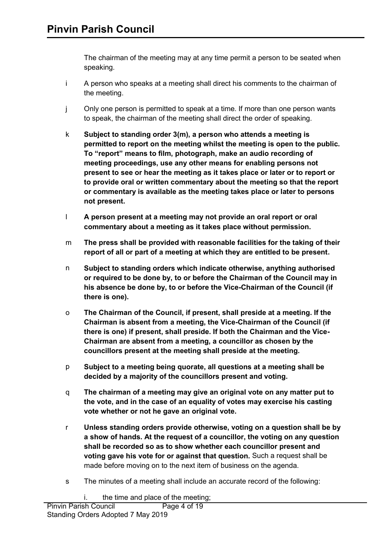The chairman of the meeting may at any time permit a person to be seated when speaking.

- i A person who speaks at a meeting shall direct his comments to the chairman of the meeting.
- j Only one person is permitted to speak at a time. If more than one person wants to speak, the chairman of the meeting shall direct the order of speaking.
- k **Subject to standing order 3(m), a person who attends a meeting is permitted to report on the meeting whilst the meeting is open to the public. To "report" means to film, photograph, make an audio recording of meeting proceedings, use any other means for enabling persons not present to see or hear the meeting as it takes place or later or to report or to provide oral or written commentary about the meeting so that the report or commentary is available as the meeting takes place or later to persons not present.**
- l **A person present at a meeting may not provide an oral report or oral commentary about a meeting as it takes place without permission.**
- m **The press shall be provided with reasonable facilities for the taking of their report of all or part of a meeting at which they are entitled to be present.**
- n **Subject to standing orders which indicate otherwise, anything authorised or required to be done by, to or before the Chairman of the Council may in his absence be done by, to or before the Vice-Chairman of the Council (if there is one).**
- o **The Chairman of the Council, if present, shall preside at a meeting. If the Chairman is absent from a meeting, the Vice-Chairman of the Council (if there is one) if present, shall preside. If both the Chairman and the Vice-Chairman are absent from a meeting, a councillor as chosen by the councillors present at the meeting shall preside at the meeting.**
- p **Subject to a meeting being quorate, all questions at a meeting shall be decided by a majority of the councillors present and voting.**
- q **The chairman of a meeting may give an original vote on any matter put to the vote, and in the case of an equality of votes may exercise his casting vote whether or not he gave an original vote.**
- r **Unless standing orders provide otherwise, voting on a question shall be by a show of hands. At the request of a councillor, the voting on any question shall be recorded so as to show whether each councillor present and voting gave his vote for or against that question.** Such a request shall be made before moving on to the next item of business on the agenda.
- s The minutes of a meeting shall include an accurate record of the following: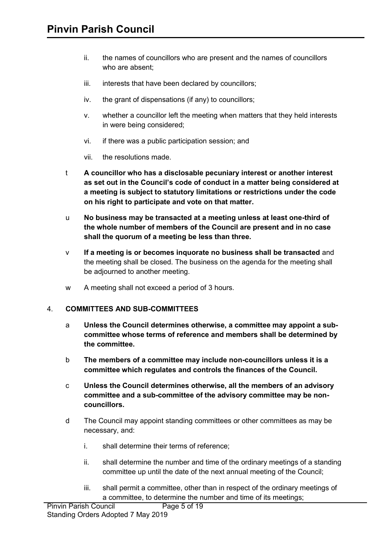- ii. the names of councillors who are present and the names of councillors who are absent;
- iii. interests that have been declared by councillors;
- iv. the grant of dispensations (if any) to councillors;
- v. whether a councillor left the meeting when matters that they held interests in were being considered;
- vi. if there was a public participation session; and
- vii. the resolutions made.
- t **A councillor who has a disclosable pecuniary interest or another interest as set out in the Council's code of conduct in a matter being considered at a meeting is subject to statutory limitations or restrictions under the code on his right to participate and vote on that matter.**
- u **No business may be transacted at a meeting unless at least one-third of the whole number of members of the Council are present and in no case shall the quorum of a meeting be less than three.**
- v **If a meeting is or becomes inquorate no business shall be transacted** and the meeting shall be closed. The business on the agenda for the meeting shall be adjourned to another meeting.
- w A meeting shall not exceed a period of 3 hours.

#### 4. **COMMITTEES AND SUB-COMMITTEES**

- a **Unless the Council determines otherwise, a committee may appoint a subcommittee whose terms of reference and members shall be determined by the committee.**
- b **The members of a committee may include non-councillors unless it is a committee which regulates and controls the finances of the Council.**
- c **Unless the Council determines otherwise, all the members of an advisory committee and a sub-committee of the advisory committee may be noncouncillors.**
- d The Council may appoint standing committees or other committees as may be necessary, and:
	- i. shall determine their terms of reference;
	- ii. shall determine the number and time of the ordinary meetings of a standing committee up until the date of the next annual meeting of the Council;
	- iii. shall permit a committee, other than in respect of the ordinary meetings of a committee, to determine the number and time of its meetings;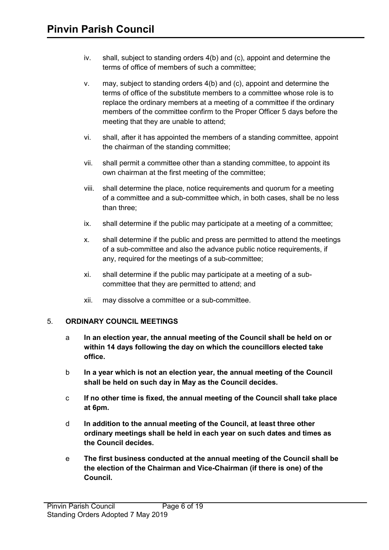- iv. shall, subject to standing orders 4(b) and (c), appoint and determine the terms of office of members of such a committee;
- v. may, subject to standing orders 4(b) and (c), appoint and determine the terms of office of the substitute members to a committee whose role is to replace the ordinary members at a meeting of a committee if the ordinary members of the committee confirm to the Proper Officer 5 days before the meeting that they are unable to attend;
- vi. shall, after it has appointed the members of a standing committee, appoint the chairman of the standing committee;
- vii. shall permit a committee other than a standing committee, to appoint its own chairman at the first meeting of the committee;
- viii. shall determine the place, notice requirements and quorum for a meeting of a committee and a sub-committee which, in both cases, shall be no less than three;
- ix. shall determine if the public may participate at a meeting of a committee;
- x. shall determine if the public and press are permitted to attend the meetings of a sub-committee and also the advance public notice requirements, if any, required for the meetings of a sub-committee;
- xi. shall determine if the public may participate at a meeting of a subcommittee that they are permitted to attend; and
- xii. may dissolve a committee or a sub-committee.

### 5. **ORDINARY COUNCIL MEETINGS**

- a **In an election year, the annual meeting of the Council shall be held on or within 14 days following the day on which the councillors elected take office.**
- b **In a year which is not an election year, the annual meeting of the Council shall be held on such day in May as the Council decides.**
- c **If no other time is fixed, the annual meeting of the Council shall take place at 6pm.**
- d **In addition to the annual meeting of the Council, at least three other ordinary meetings shall be held in each year on such dates and times as the Council decides.**
- e **The first business conducted at the annual meeting of the Council shall be the election of the Chairman and Vice-Chairman (if there is one) of the Council.**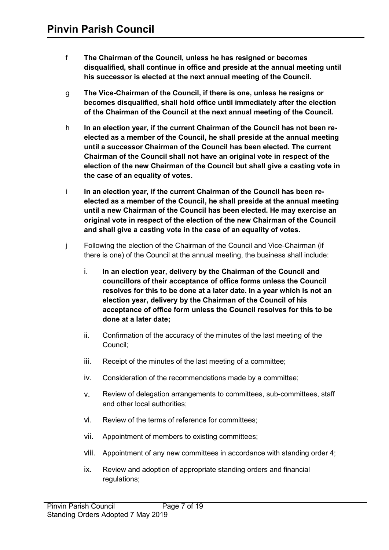- f **The Chairman of the Council, unless he has resigned or becomes disqualified, shall continue in office and preside at the annual meeting until his successor is elected at the next annual meeting of the Council.**
- g **The Vice-Chairman of the Council, if there is one, unless he resigns or becomes disqualified, shall hold office until immediately after the election of the Chairman of the Council at the next annual meeting of the Council.**
- h **In an election year, if the current Chairman of the Council has not been reelected as a member of the Council, he shall preside at the annual meeting until a successor Chairman of the Council has been elected. The current Chairman of the Council shall not have an original vote in respect of the election of the new Chairman of the Council but shall give a casting vote in the case of an equality of votes.**
- i **In an election year, if the current Chairman of the Council has been reelected as a member of the Council, he shall preside at the annual meeting until a new Chairman of the Council has been elected. He may exercise an original vote in respect of the election of the new Chairman of the Council and shall give a casting vote in the case of an equality of votes.**
- j Following the election of the Chairman of the Council and Vice-Chairman (if there is one) of the Council at the annual meeting, the business shall include:
	- i. **In an election year, delivery by the Chairman of the Council and councillors of their acceptance of office forms unless the Council resolves for this to be done at a later date. In a year which is not an election year, delivery by the Chairman of the Council of his acceptance of office form unless the Council resolves for this to be done at a later date;**
	- ii. Confirmation of the accuracy of the minutes of the last meeting of the Council;
	- iii. Receipt of the minutes of the last meeting of a committee;
	- iv. Consideration of the recommendations made by a committee;
	- v. Review of delegation arrangements to committees, sub-committees, staff and other local authorities;
	- vi. Review of the terms of reference for committees;
	- vii. Appointment of members to existing committees;
	- viii. Appointment of any new committees in accordance with standing order 4;
	- ix. Review and adoption of appropriate standing orders and financial regulations;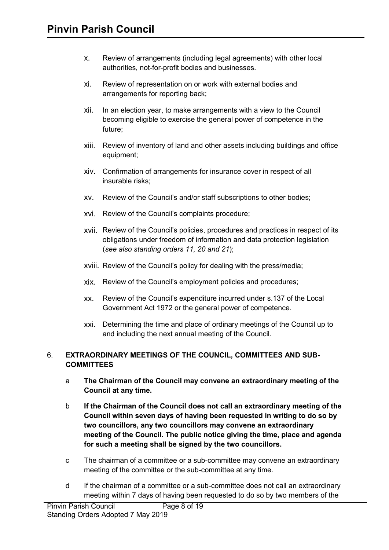- x. Review of arrangements (including legal agreements) with other local authorities, not-for-profit bodies and businesses.
- xi. Review of representation on or work with external bodies and arrangements for reporting back;
- xii. In an election year, to make arrangements with a view to the Council becoming eligible to exercise the general power of competence in the future;
- xiii. Review of inventory of land and other assets including buildings and office equipment;
- xiv. Confirmation of arrangements for insurance cover in respect of all insurable risks;
- xv. Review of the Council's and/or staff subscriptions to other bodies;
- xvi. Review of the Council's complaints procedure;
- xvii. Review of the Council's policies, procedures and practices in respect of its obligations under freedom of information and data protection legislation (*see also standing orders 11, 20 and 21*);
- xviii. Review of the Council's policy for dealing with the press/media;
- xix. Review of the Council's employment policies and procedures;
- xx. Review of the Council's expenditure incurred under s.137 of the Local Government Act 1972 or the general power of competence.
- xxi. Determining the time and place of ordinary meetings of the Council up to and including the next annual meeting of the Council.

### 6. **EXTRAORDINARY MEETINGS OF THE COUNCIL, COMMITTEES AND SUB-COMMITTEES**

- a **The Chairman of the Council may convene an extraordinary meeting of the Council at any time.**
- b **If the Chairman of the Council does not call an extraordinary meeting of the Council within seven days of having been requested in writing to do so by two councillors, any two councillors may convene an extraordinary meeting of the Council. The public notice giving the time, place and agenda for such a meeting shall be signed by the two councillors.**
- c The chairman of a committee or a sub-committee may convene an extraordinary meeting of the committee or the sub-committee at any time.
- d If the chairman of a committee or a sub-committee does not call an extraordinary meeting within 7 days of having been requested to do so by two members of the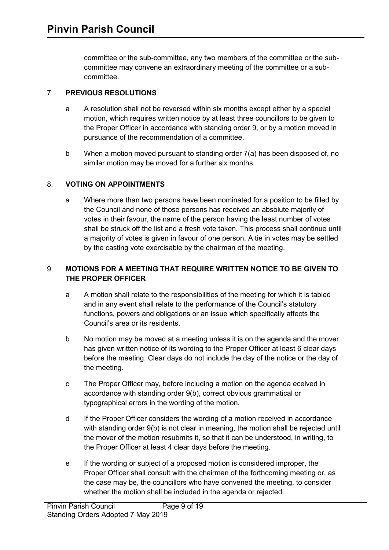committee or the sub-committee, any two members of the committee or the subcommittee may convene an extraordinary meeting of the committee or a subcommittee.

# 7. **PREVIOUS RESOLUTIONS**

- a A resolution shall not be reversed within six months except either by a special motion, which requires written notice by at least three councillors to be given to the Proper Officer in accordance with standing order 9, or by a motion moved in pursuance of the recommendation of a committee.
- b When a motion moved pursuant to standing order 7(a) has been disposed of, no similar motion may be moved for a further six months.

## 8. **VOTING ON APPOINTMENTS**

a Where more than two persons have been nominated for a position to be filled by the Council and none of those persons has received an absolute majority of votes in their favour, the name of the person having the least number of votes shall be struck off the list and a fresh vote taken. This process shall continue until a majority of votes is given in favour of one person. A tie in votes may be settled by the casting vote exercisable by the chairman of the meeting.

# 9. **MOTIONS FOR A MEETING THAT REQUIRE WRITTEN NOTICE TO BE GIVEN TO THE PROPER OFFICER**

- a A motion shall relate to the responsibilities of the meeting for which it is tabled and in any event shall relate to the performance of the Council's statutory functions, powers and obligations or an issue which specifically affects the Council's area or its residents.
- b No motion may be moved at a meeting unless it is on the agenda and the mover has given written notice of its wording to the Proper Officer at least 6 clear days before the meeting. Clear days do not include the day of the notice or the day of the meeting.
- c The Proper Officer may, before including a motion on the agenda eceived in accordance with standing order 9(b), correct obvious grammatical or typographical errors in the wording of the motion.
- d If the Proper Officer considers the wording of a motion received in accordance with standing order 9(b) is not clear in meaning, the motion shall be rejected until the mover of the motion resubmits it, so that it can be understood, in writing, to the Proper Officer at least 4 clear days before the meeting.
- e If the wording or subject of a proposed motion is considered improper, the Proper Officer shall consult with the chairman of the forthcoming meeting or, as the case may be, the councillors who have convened the meeting, to consider whether the motion shall be included in the agenda or rejected.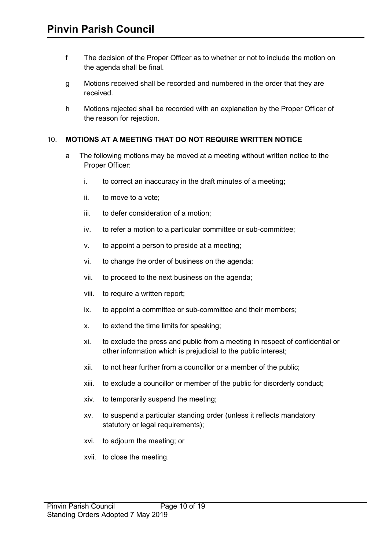- f The decision of the Proper Officer as to whether or not to include the motion on the agenda shall be final.
- g Motions received shall be recorded and numbered in the order that they are received.
- h Motions rejected shall be recorded with an explanation by the Proper Officer of the reason for rejection.

#### 10. **MOTIONS AT A MEETING THAT DO NOT REQUIRE WRITTEN NOTICE**

- a The following motions may be moved at a meeting without written notice to the Proper Officer:
	- i. to correct an inaccuracy in the draft minutes of a meeting;
	- ii. to move to a vote;
	- iii. to defer consideration of a motion;
	- iv. to refer a motion to a particular committee or sub-committee;
	- v. to appoint a person to preside at a meeting;
	- vi. to change the order of business on the agenda;
	- vii. to proceed to the next business on the agenda;
	- viii. to require a written report;
	- ix. to appoint a committee or sub-committee and their members;
	- x. to extend the time limits for speaking;
	- xi. to exclude the press and public from a meeting in respect of confidential or other information which is prejudicial to the public interest;
	- xii. to not hear further from a councillor or a member of the public;
	- xiii. to exclude a councillor or member of the public for disorderly conduct;
	- xiv. to temporarily suspend the meeting;
	- xv. to suspend a particular standing order (unless it reflects mandatory statutory or legal requirements);
	- xvi. to adjourn the meeting; or
	- xvii. to close the meeting.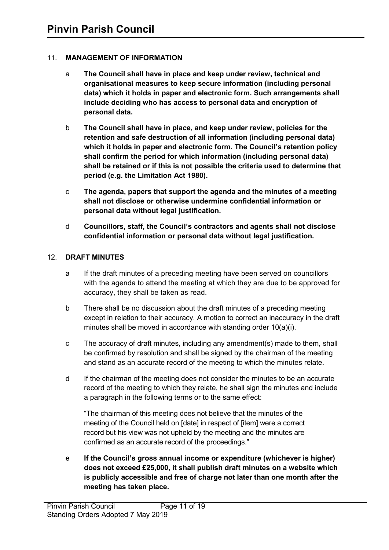## 11. **MANAGEMENT OF INFORMATION**

- a **The Council shall have in place and keep under review, technical and organisational measures to keep secure information (including personal data) which it holds in paper and electronic form. Such arrangements shall include deciding who has access to personal data and encryption of personal data.**
- b **The Council shall have in place, and keep under review, policies for the retention and safe destruction of all information (including personal data) which it holds in paper and electronic form. The Council's retention policy shall confirm the period for which information (including personal data) shall be retained or if this is not possible the criteria used to determine that period (e.g. the Limitation Act 1980).**
- c **The agenda, papers that support the agenda and the minutes of a meeting shall not disclose or otherwise undermine confidential information or personal data without legal justification.**
- d **Councillors, staff, the Council's contractors and agents shall not disclose confidential information or personal data without legal justification.**

### 12. **DRAFT MINUTES**

- a If the draft minutes of a preceding meeting have been served on councillors with the agenda to attend the meeting at which they are due to be approved for accuracy, they shall be taken as read.
- b There shall be no discussion about the draft minutes of a preceding meeting except in relation to their accuracy. A motion to correct an inaccuracy in the draft minutes shall be moved in accordance with standing order 10(a)(i).
- c The accuracy of draft minutes, including any amendment(s) made to them, shall be confirmed by resolution and shall be signed by the chairman of the meeting and stand as an accurate record of the meeting to which the minutes relate.
- d If the chairman of the meeting does not consider the minutes to be an accurate record of the meeting to which they relate, he shall sign the minutes and include a paragraph in the following terms or to the same effect:

"The chairman of this meeting does not believe that the minutes of the meeting of the Council held on [date] in respect of [item] were a correct record but his view was not upheld by the meeting and the minutes are confirmed as an accurate record of the proceedings."

e **If the Council's gross annual income or expenditure (whichever is higher) does not exceed £25,000, it shall publish draft minutes on a website which is publicly accessible and free of charge not later than one month after the meeting has taken place.**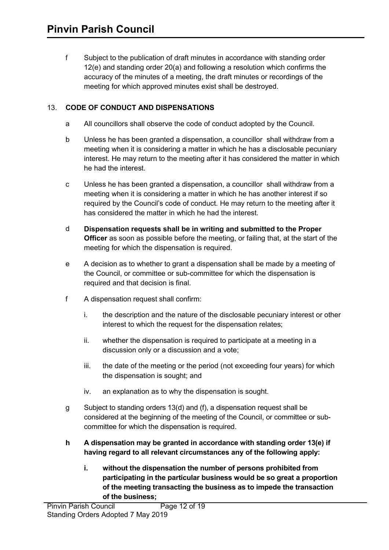f Subject to the publication of draft minutes in accordance with standing order 12(e) and standing order 20(a) and following a resolution which confirms the accuracy of the minutes of a meeting, the draft minutes or recordings of the meeting for which approved minutes exist shall be destroyed.

# 13. **CODE OF CONDUCT AND DISPENSATIONS**

- a All councillors shall observe the code of conduct adopted by the Council.
- b Unless he has been granted a dispensation, a councillor shall withdraw from a meeting when it is considering a matter in which he has a disclosable pecuniary interest. He may return to the meeting after it has considered the matter in which he had the interest.
- c Unless he has been granted a dispensation, a councillor shall withdraw from a meeting when it is considering a matter in which he has another interest if so required by the Council's code of conduct. He may return to the meeting after it has considered the matter in which he had the interest.
- d **Dispensation requests shall be in writing and submitted to the Proper Officer** as soon as possible before the meeting, or failing that, at the start of the meeting for which the dispensation is required.
- e A decision as to whether to grant a dispensation shall be made by a meeting of the Council, or committee or sub-committee for which the dispensation is required and that decision is final.
- f A dispensation request shall confirm:
	- i. the description and the nature of the disclosable pecuniary interest or other interest to which the request for the dispensation relates;
	- ii. whether the dispensation is required to participate at a meeting in a discussion only or a discussion and a vote;
	- iii. the date of the meeting or the period (not exceeding four years) for which the dispensation is sought; and
	- iv. an explanation as to why the dispensation is sought.
- g Subject to standing orders 13(d) and (f), a dispensation request shall be considered at the beginning of the meeting of the Council, or committee or subcommittee for which the dispensation is required.
- **h A dispensation may be granted in accordance with standing order 13(e) if having regard to all relevant circumstances any of the following apply:**
	- **i. without the dispensation the number of persons prohibited from participating in the particular business would be so great a proportion of the meeting transacting the business as to impede the transaction of the business;**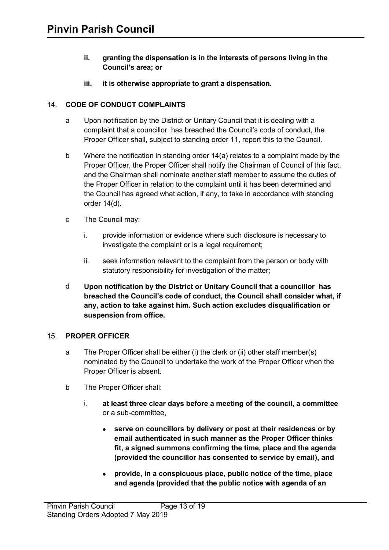- **ii. granting the dispensation is in the interests of persons living in the Council's area; or**
- **iii. it is otherwise appropriate to grant a dispensation.**

### 14. **CODE OF CONDUCT COMPLAINTS**

- a Upon notification by the District or Unitary Council that it is dealing with a complaint that a councillor has breached the Council's code of conduct, the Proper Officer shall, subject to standing order 11, report this to the Council.
- b Where the notification in standing order 14(a) relates to a complaint made by the Proper Officer, the Proper Officer shall notify the Chairman of Council of this fact, and the Chairman shall nominate another staff member to assume the duties of the Proper Officer in relation to the complaint until it has been determined and the Council has agreed what action, if any, to take in accordance with standing order 14(d).
- c The Council may:
	- i. provide information or evidence where such disclosure is necessary to investigate the complaint or is a legal requirement;
	- ii. seek information relevant to the complaint from the person or body with statutory responsibility for investigation of the matter;
- d **Upon notification by the District or Unitary Council that a councillor has breached the Council's code of conduct, the Council shall consider what, if any, action to take against him. Such action excludes disqualification or suspension from office.**

### 15. **PROPER OFFICER**

- a The Proper Officer shall be either (i) the clerk or (ii) other staff member(s) nominated by the Council to undertake the work of the Proper Officer when the Proper Officer is absent.
- b The Proper Officer shall:
	- i. **at least three clear days before a meeting of the council, a committee**  or a sub-committee**,**
		- **serve on councillors by delivery or post at their residences or by email authenticated in such manner as the Proper Officer thinks fit, a signed summons confirming the time, place and the agenda (provided the councillor has consented to service by email), and**
		- **provide, in a conspicuous place, public notice of the time, place and agenda (provided that the public notice with agenda of an**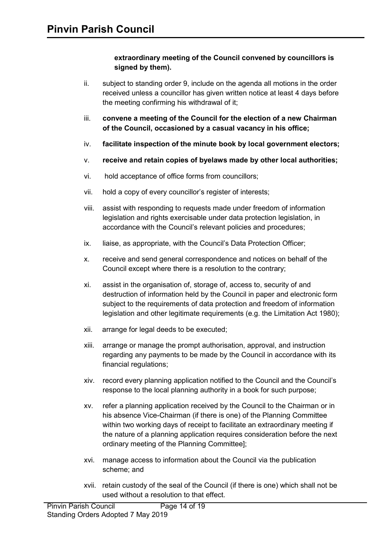### **extraordinary meeting of the Council convened by councillors is signed by them).**

- ii. subject to standing order 9, include on the agenda all motions in the order received unless a councillor has given written notice at least 4 days before the meeting confirming his withdrawal of it;
- iii. **convene a meeting of the Council for the election of a new Chairman of the Council, occasioned by a casual vacancy in his office;**
- iv. **facilitate inspection of the minute book by local government electors;**
- v. **receive and retain copies of byelaws made by other local authorities;**
- vi. hold acceptance of office forms from councillors;
- vii. hold a copy of every councillor's register of interests;
- viii. assist with responding to requests made under freedom of information legislation and rights exercisable under data protection legislation, in accordance with the Council's relevant policies and procedures;
- ix. liaise, as appropriate, with the Council's Data Protection Officer;
- x. receive and send general correspondence and notices on behalf of the Council except where there is a resolution to the contrary;
- xi. assist in the organisation of, storage of, access to, security of and destruction of information held by the Council in paper and electronic form subject to the requirements of data protection and freedom of information legislation and other legitimate requirements (e.g. the Limitation Act 1980);
- xii. arrange for legal deeds to be executed;
- xiii. arrange or manage the prompt authorisation, approval, and instruction regarding any payments to be made by the Council in accordance with its financial regulations;
- xiv. record every planning application notified to the Council and the Council's response to the local planning authority in a book for such purpose;
- xv. refer a planning application received by the Council to the Chairman or in his absence Vice-Chairman (if there is one) of the Planning Committee within two working days of receipt to facilitate an extraordinary meeting if the nature of a planning application requires consideration before the next ordinary meeting of the Planning Committee];
- xvi. manage access to information about the Council via the publication scheme; and
- xvii. retain custody of the seal of the Council (if there is one) which shall not be used without a resolution to that effect.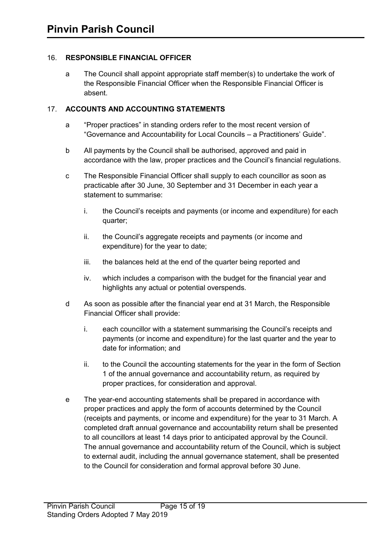### 16. **RESPONSIBLE FINANCIAL OFFICER**

a The Council shall appoint appropriate staff member(s) to undertake the work of the Responsible Financial Officer when the Responsible Financial Officer is absent.

## 17. **ACCOUNTS AND ACCOUNTING STATEMENTS**

- a "Proper practices" in standing orders refer to the most recent version of "Governance and Accountability for Local Councils – a Practitioners' Guide".
- b All payments by the Council shall be authorised, approved and paid in accordance with the law, proper practices and the Council's financial regulations.
- c The Responsible Financial Officer shall supply to each councillor as soon as practicable after 30 June, 30 September and 31 December in each year a statement to summarise:
	- i. the Council's receipts and payments (or income and expenditure) for each quarter;
	- ii. the Council's aggregate receipts and payments (or income and expenditure) for the year to date;
	- iii. the balances held at the end of the quarter being reported and
	- iv. which includes a comparison with the budget for the financial year and highlights any actual or potential overspends.
- d As soon as possible after the financial year end at 31 March, the Responsible Financial Officer shall provide:
	- i. each councillor with a statement summarising the Council's receipts and payments (or income and expenditure) for the last quarter and the year to date for information; and
	- ii. to the Council the accounting statements for the year in the form of Section 1 of the annual governance and accountability return, as required by proper practices, for consideration and approval.
- e The year-end accounting statements shall be prepared in accordance with proper practices and apply the form of accounts determined by the Council (receipts and payments, or income and expenditure) for the year to 31 March. A completed draft annual governance and accountability return shall be presented to all councillors at least 14 days prior to anticipated approval by the Council. The annual governance and accountability return of the Council, which is subject to external audit, including the annual governance statement, shall be presented to the Council for consideration and formal approval before 30 June.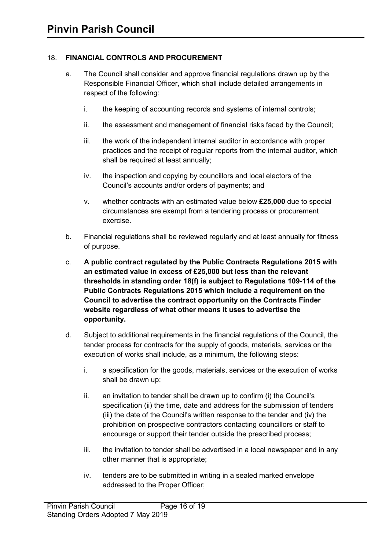# 18. **FINANCIAL CONTROLS AND PROCUREMENT**

- a. The Council shall consider and approve financial regulations drawn up by the Responsible Financial Officer, which shall include detailed arrangements in respect of the following:
	- i. the keeping of accounting records and systems of internal controls;
	- ii. the assessment and management of financial risks faced by the Council;
	- iii. the work of the independent internal auditor in accordance with proper practices and the receipt of regular reports from the internal auditor, which shall be required at least annually;
	- iv. the inspection and copying by councillors and local electors of the Council's accounts and/or orders of payments; and
	- v. whether contracts with an estimated value below **£25,000** due to special circumstances are exempt from a tendering process or procurement exercise.
- b. Financial regulations shall be reviewed regularly and at least annually for fitness of purpose.
- c. **A public contract regulated by the Public Contracts Regulations 2015 with an estimated value in excess of £25,000 but less than the relevant thresholds in standing order 18(f) is subject to Regulations 109-114 of the Public Contracts Regulations 2015 which include a requirement on the Council to advertise the contract opportunity on the Contracts Finder website regardless of what other means it uses to advertise the opportunity.**
- d. Subject to additional requirements in the financial regulations of the Council, the tender process for contracts for the supply of goods, materials, services or the execution of works shall include, as a minimum, the following steps:
	- i. a specification for the goods, materials, services or the execution of works shall be drawn up;
	- ii. an invitation to tender shall be drawn up to confirm (i) the Council's specification (ii) the time, date and address for the submission of tenders (iii) the date of the Council's written response to the tender and (iv) the prohibition on prospective contractors contacting councillors or staff to encourage or support their tender outside the prescribed process;
	- iii. the invitation to tender shall be advertised in a local newspaper and in any other manner that is appropriate;
	- iv. tenders are to be submitted in writing in a sealed marked envelope addressed to the Proper Officer;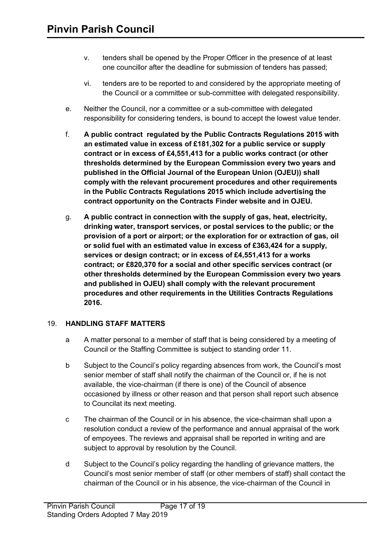- v. tenders shall be opened by the Proper Officer in the presence of at least one councillor after the deadline for submission of tenders has passed;
- vi. tenders are to be reported to and considered by the appropriate meeting of the Council or a committee or sub-committee with delegated responsibility.
- e. Neither the Council, nor a committee or a sub-committee with delegated responsibility for considering tenders, is bound to accept the lowest value tender.
- f. **A public contract regulated by the Public Contracts Regulations 2015 with an estimated value in excess of £181,302 for a public service or supply contract or in excess of £4,551,413 for a public works contract (or other thresholds determined by the European Commission every two years and published in the Official Journal of the European Union (OJEU)) shall comply with the relevant procurement procedures and other requirements in the Public Contracts Regulations 2015 which include advertising the contract opportunity on the Contracts Finder website and in OJEU.**
- g. **A public contract in connection with the supply of gas, heat, electricity, drinking water, transport services, or postal services to the public; or the provision of a port or airport; or the exploration for or extraction of gas, oil or solid fuel with an estimated value in excess of £363,424 for a supply, services or design contract; or in excess of £4,551,413 for a works contract; or £820,370 for a social and other specific services contract (or other thresholds determined by the European Commission every two years and published in OJEU) shall comply with the relevant procurement procedures and other requirements in the Utilities Contracts Regulations 2016.**

### 19. **HANDLING STAFF MATTERS**

- a A matter personal to a member of staff that is being considered by a meeting of Council or the Staffing Committee is subject to standing order 11.
- b Subject to the Council's policy regarding absences from work, the Council's most senior member of staff shall notify the chairman of the Council or, if he is not available, the vice-chairman (if there is one) of the Council of absence occasioned by illness or other reason and that person shall report such absence to Councilat its next meeting.
- c The chairman of the Council or in his absence, the vice-chairman shall upon a resolution conduct a review of the performance and annual appraisal of the work of empoyees. The reviews and appraisal shall be reported in writing and are subject to approval by resolution by the Council.
- d Subject to the Council's policy regarding the handling of grievance matters, the Council's most senior member of staff (or other members of staff) shall contact the chairman of the Council or in his absence, the vice-chairman of the Council in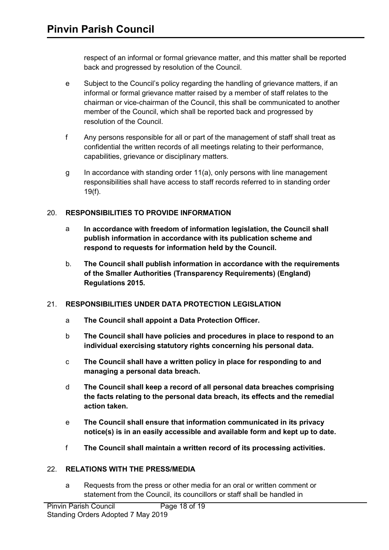respect of an informal or formal grievance matter, and this matter shall be reported back and progressed by resolution of the Council.

- e Subject to the Council's policy regarding the handling of grievance matters, if an informal or formal grievance matter raised by a member of staff relates to the chairman or vice-chairman of the Council, this shall be communicated to another member of the Council, which shall be reported back and progressed by resolution of the Council.
- f Any persons responsible for all or part of the management of staff shall treat as confidential the written records of all meetings relating to their performance, capabilities, grievance or disciplinary matters.
- g In accordance with standing order 11(a), only persons with line management responsibilities shall have access to staff records referred to in standing order 19(f).

## 20. **RESPONSIBILITIES TO PROVIDE INFORMATION**

- a **In accordance with freedom of information legislation, the Council shall publish information in accordance with its publication scheme and respond to requests for information held by the Council.**
- b. **The Council shall publish information in accordance with the requirements of the Smaller Authorities (Transparency Requirements) (England) Regulations 2015.**

### 21. **RESPONSIBILITIES UNDER DATA PROTECTION LEGISLATION**

- a **The Council shall appoint a Data Protection Officer.**
- b **The Council shall have policies and procedures in place to respond to an individual exercising statutory rights concerning his personal data.**
- c **The Council shall have a written policy in place for responding to and managing a personal data breach.**
- d **The Council shall keep a record of all personal data breaches comprising the facts relating to the personal data breach, its effects and the remedial action taken.**
- e **The Council shall ensure that information communicated in its privacy notice(s) is in an easily accessible and available form and kept up to date.**
- f **The Council shall maintain a written record of its processing activities.**

### 22. **RELATIONS WITH THE PRESS/MEDIA**

a Requests from the press or other media for an oral or written comment or statement from the Council, its councillors or staff shall be handled in